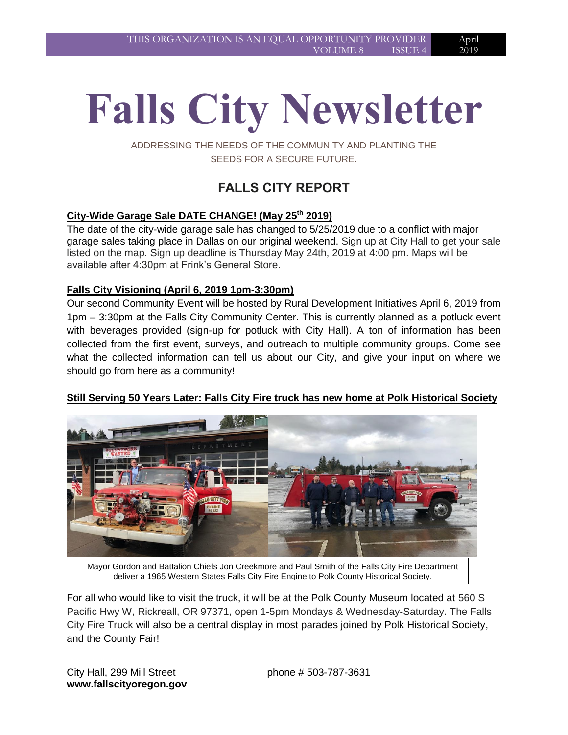April 2019

# **Falls City Newsletter**

ADDRESSING THE NEEDS OF THE COMMUNITY AND PLANTING THE SEEDS FOR A SECURE FUTURE.

# **FALLS CITY REPORT**

# **City-Wide Garage Sale DATE CHANGE! (May 25th 2019)**

The date of the city-wide garage sale has changed to 5/25/2019 due to a conflict with major garage sales taking place in Dallas on our original weekend. Sign up at City Hall to get your sale listed on the map. Sign up deadline is Thursday May 24th, 2019 at 4:00 pm. Maps will be available after 4:30pm at Frink's General Store.

# **Falls City Visioning (April 6, 2019 1pm-3:30pm)**

Our second Community Event will be hosted by Rural Development Initiatives April 6, 2019 from 1pm – 3:30pm at the Falls City Community Center. This is currently planned as a potluck event with beverages provided (sign-up for potluck with City Hall). A ton of information has been collected from the first event, surveys, and outreach to multiple community groups. Come see what the collected information can tell us about our City, and give your input on where we should go from here as a community!

# **Still Serving 50 Years Later: Falls City Fire truck has new home at Polk Historical Society**



deliver a 1965 Western States Falls City Fire Engine to Polk County Historical Society.

For all who would like to visit the truck, it will be at the Polk County Museum located at 560 S Pacific Hwy W, Rickreall, OR 97371, open 1-5pm Mondays & Wednesday-Saturday. The Falls City Fire Truck will also be a central display in most parades joined by Polk Historical Society, and the County Fair!